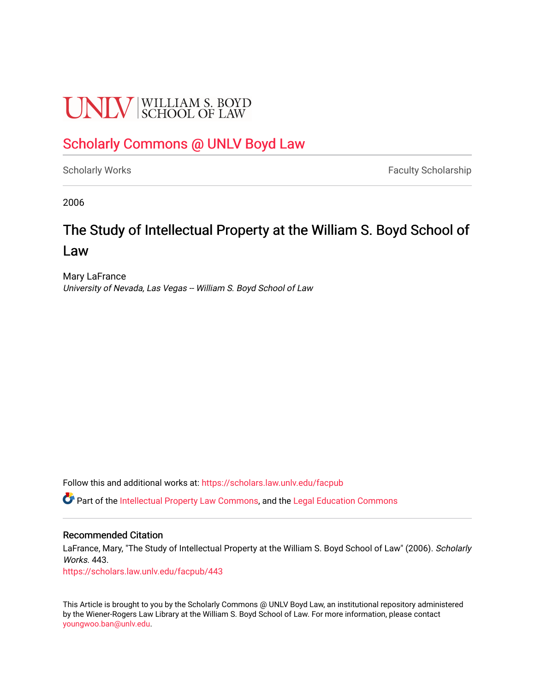# **UNLV** SCHOOL OF LAW

# [Scholarly Commons @ UNLV Boyd Law](https://scholars.law.unlv.edu/)

[Scholarly Works](https://scholars.law.unlv.edu/facpub) **Faculty Scholarship** Faculty Scholarship

2006

# The Study of Intellectual Property at the William S. Boyd School of Law

Mary LaFrance University of Nevada, Las Vegas -- William S. Boyd School of Law

Follow this and additional works at: [https://scholars.law.unlv.edu/facpub](https://scholars.law.unlv.edu/facpub?utm_source=scholars.law.unlv.edu%2Ffacpub%2F443&utm_medium=PDF&utm_campaign=PDFCoverPages)

Part of the [Intellectual Property Law Commons,](http://network.bepress.com/hgg/discipline/896?utm_source=scholars.law.unlv.edu%2Ffacpub%2F443&utm_medium=PDF&utm_campaign=PDFCoverPages) and the [Legal Education Commons](http://network.bepress.com/hgg/discipline/857?utm_source=scholars.law.unlv.edu%2Ffacpub%2F443&utm_medium=PDF&utm_campaign=PDFCoverPages)

#### Recommended Citation

LaFrance, Mary, "The Study of Intellectual Property at the William S. Boyd School of Law" (2006). Scholarly Works. 443.

[https://scholars.law.unlv.edu/facpub/443](https://scholars.law.unlv.edu/facpub/443?utm_source=scholars.law.unlv.edu%2Ffacpub%2F443&utm_medium=PDF&utm_campaign=PDFCoverPages)

This Article is brought to you by the Scholarly Commons @ UNLV Boyd Law, an institutional repository administered by the Wiener-Rogers Law Library at the William S. Boyd School of Law. For more information, please contact [youngwoo.ban@unlv.edu.](mailto:youngwoo.ban@unlv.edu)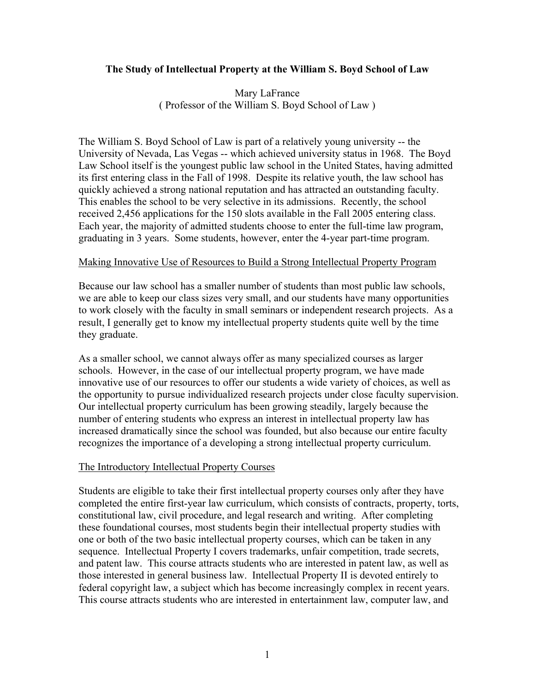### **The Study of Intellectual Property at the William S. Boyd School of Law**

Mary LaFrance ( Professor of the William S. Boyd School of Law )

The William S. Boyd School of Law is part of a relatively young university -- the University of Nevada, Las Vegas -- which achieved university status in 1968. The Boyd Law School itself is the youngest public law school in the United States, having admitted its first entering class in the Fall of 1998. Despite its relative youth, the law school has quickly achieved a strong national reputation and has attracted an outstanding faculty. This enables the school to be very selective in its admissions. Recently, the school received 2,456 applications for the 150 slots available in the Fall 2005 entering class. Each year, the majority of admitted students choose to enter the full-time law program, graduating in 3 years. Some students, however, enter the 4-year part-time program.

#### Making Innovative Use of Resources to Build a Strong Intellectual Property Program

Because our law school has a smaller number of students than most public law schools, we are able to keep our class sizes very small, and our students have many opportunities to work closely with the faculty in small seminars or independent research projects. As a result, I generally get to know my intellectual property students quite well by the time they graduate.

As a smaller school, we cannot always offer as many specialized courses as larger schools. However, in the case of our intellectual property program, we have made innovative use of our resources to offer our students a wide variety of choices, as well as the opportunity to pursue individualized research projects under close faculty supervision. Our intellectual property curriculum has been growing steadily, largely because the number of entering students who express an interest in intellectual property law has increased dramatically since the school was founded, but also because our entire faculty recognizes the importance of a developing a strong intellectual property curriculum.

#### The Introductory Intellectual Property Courses

Students are eligible to take their first intellectual property courses only after they have completed the entire first-year law curriculum, which consists of contracts, property, torts, constitutional law, civil procedure, and legal research and writing. After completing these foundational courses, most students begin their intellectual property studies with one or both of the two basic intellectual property courses, which can be taken in any sequence. Intellectual Property I covers trademarks, unfair competition, trade secrets, and patent law. This course attracts students who are interested in patent law, as well as those interested in general business law. Intellectual Property II is devoted entirely to federal copyright law, a subject which has become increasingly complex in recent years. This course attracts students who are interested in entertainment law, computer law, and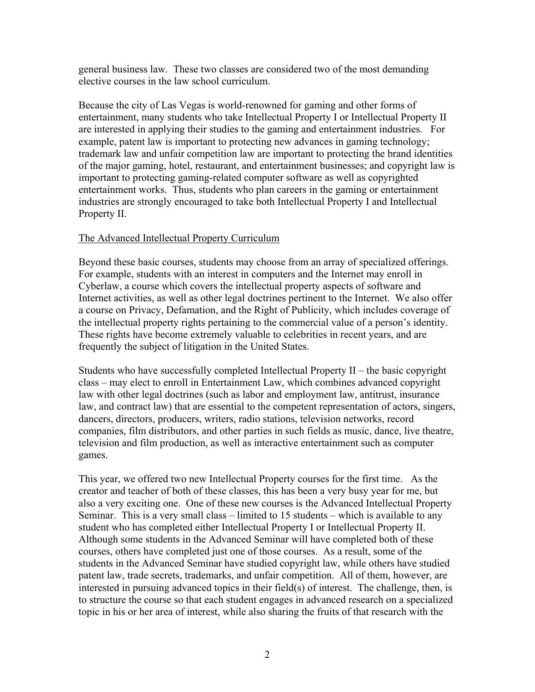general business law. These two classes are considered two of the most demanding elective courses in the law school curriculum.

Because the city of Las Vegas is world-renowned for gaming and other forms of entertainment, many students who take Intellectual Property I or Intellectual Property II are interested in applying their studies to the gaming and entertainment industries. For example, patent law is important to protecting new advances in gaming technology; trademark law and unfair competition law are important to protecting the brand identities of the major gaming, hotel, restaurant, and entertainment businesses; and copyright law is important to protecting gaming-related computer software as well as copyrighted entertainment works. Thus, students who plan careers in the gaming or entertainment industries are strongly encouraged to take both Intellectual Property I and Intellectual Property II.

### The Advanced Intellectual Property Curriculum

Beyond these basic courses, students may choose from an array of specialized offerings. For example, students with an interest in computers and the Internet may enroll in Cyberlaw, a course which covers the intellectual property aspects of software and Internet activities, as well as other legal doctrines pertinent to the Internet. We also offer a course on Privacy, Defamation, and the Right of Publicity, which includes coverage of the intellectual property rights pertaining to the commercial value of a person's identity. These rights have become extremely valuable to celebrities in recent years, and are frequently the subject of litigation in the United States.

Students who have successfully completed Intellectual Property II – the basic copyright class – may elect to enroll in Entertainment Law, which combines advanced copyright law with other legal doctrines (such as labor and employment law, antitrust, insurance law, and contract law) that are essential to the competent representation of actors, singers, dancers, directors, producers, writers, radio stations, television networks, record companies, film distributors, and other parties in such fields as music, dance, live theatre, television and film production, as well as interactive entertainment such as computer games.

This year, we offered two new Intellectual Property courses for the first time. As the creator and teacher of both of these classes, this has been a very busy year for me, but also a very exciting one. One of these new courses is the Advanced Intellectual Property Seminar. This is a very small class – limited to 15 students – which is available to any student who has completed either Intellectual Property I or Intellectual Property II. Although some students in the Advanced Seminar will have completed both of these courses, others have completed just one of those courses. As a result, some of the students in the Advanced Seminar have studied copyright law, while others have studied patent law, trade secrets, trademarks, and unfair competition. All of them, however, are interested in pursuing advanced topics in their field(s) of interest. The challenge, then, is to structure the course so that each student engages in advanced research on a specialized topic in his or her area of interest, while also sharing the fruits of that research with the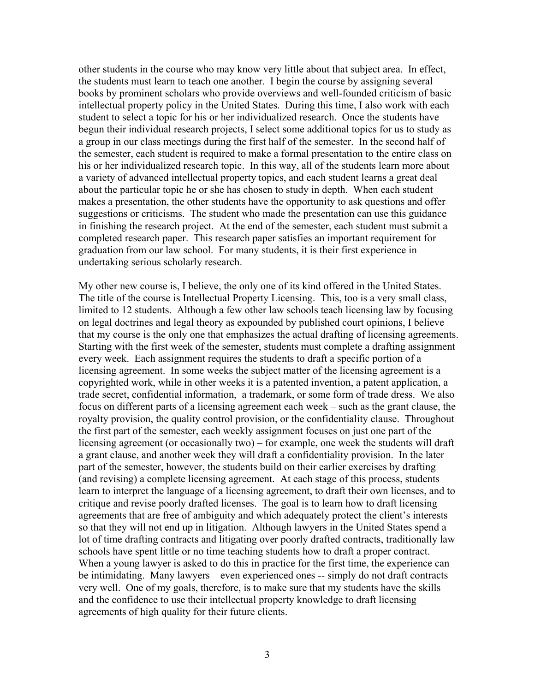other students in the course who may know very little about that subject area. In effect, the students must learn to teach one another. I begin the course by assigning several books by prominent scholars who provide overviews and well-founded criticism of basic intellectual property policy in the United States. During this time, I also work with each student to select a topic for his or her individualized research. Once the students have begun their individual research projects, I select some additional topics for us to study as a group in our class meetings during the first half of the semester. In the second half of the semester, each student is required to make a formal presentation to the entire class on his or her individualized research topic. In this way, all of the students learn more about a variety of advanced intellectual property topics, and each student learns a great deal about the particular topic he or she has chosen to study in depth. When each student makes a presentation, the other students have the opportunity to ask questions and offer suggestions or criticisms. The student who made the presentation can use this guidance in finishing the research project. At the end of the semester, each student must submit a completed research paper. This research paper satisfies an important requirement for graduation from our law school. For many students, it is their first experience in undertaking serious scholarly research.

My other new course is, I believe, the only one of its kind offered in the United States. The title of the course is Intellectual Property Licensing. This, too is a very small class, limited to 12 students. Although a few other law schools teach licensing law by focusing on legal doctrines and legal theory as expounded by published court opinions, I believe that my course is the only one that emphasizes the actual drafting of licensing agreements. Starting with the first week of the semester, students must complete a drafting assignment every week. Each assignment requires the students to draft a specific portion of a licensing agreement. In some weeks the subject matter of the licensing agreement is a copyrighted work, while in other weeks it is a patented invention, a patent application, a trade secret, confidential information, a trademark, or some form of trade dress. We also focus on different parts of a licensing agreement each week – such as the grant clause, the royalty provision, the quality control provision, or the confidentiality clause. Throughout the first part of the semester, each weekly assignment focuses on just one part of the licensing agreement (or occasionally two) – for example, one week the students will draft a grant clause, and another week they will draft a confidentiality provision. In the later part of the semester, however, the students build on their earlier exercises by drafting (and revising) a complete licensing agreement. At each stage of this process, students learn to interpret the language of a licensing agreement, to draft their own licenses, and to critique and revise poorly drafted licenses. The goal is to learn how to draft licensing agreements that are free of ambiguity and which adequately protect the client's interests so that they will not end up in litigation. Although lawyers in the United States spend a lot of time drafting contracts and litigating over poorly drafted contracts, traditionally law schools have spent little or no time teaching students how to draft a proper contract. When a young lawyer is asked to do this in practice for the first time, the experience can be intimidating. Many lawyers – even experienced ones -- simply do not draft contracts very well. One of my goals, therefore, is to make sure that my students have the skills and the confidence to use their intellectual property knowledge to draft licensing agreements of high quality for their future clients.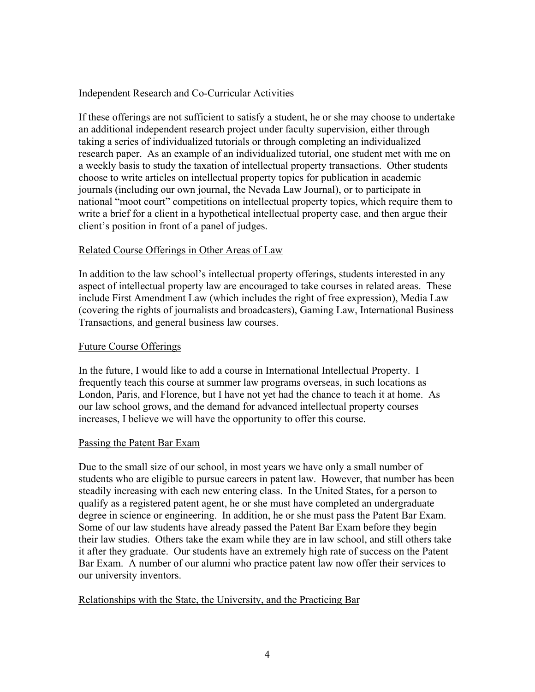## Independent Research and Co-Curricular Activities

If these offerings are not sufficient to satisfy a student, he or she may choose to undertake an additional independent research project under faculty supervision, either through taking a series of individualized tutorials or through completing an individualized research paper. As an example of an individualized tutorial, one student met with me on a weekly basis to study the taxation of intellectual property transactions. Other students choose to write articles on intellectual property topics for publication in academic journals (including our own journal, the Nevada Law Journal), or to participate in national "moot court" competitions on intellectual property topics, which require them to write a brief for a client in a hypothetical intellectual property case, and then argue their client's position in front of a panel of judges.

### Related Course Offerings in Other Areas of Law

In addition to the law school's intellectual property offerings, students interested in any aspect of intellectual property law are encouraged to take courses in related areas. These include First Amendment Law (which includes the right of free expression), Media Law (covering the rights of journalists and broadcasters), Gaming Law, International Business Transactions, and general business law courses.

## Future Course Offerings

In the future, I would like to add a course in International Intellectual Property. I frequently teach this course at summer law programs overseas, in such locations as London, Paris, and Florence, but I have not yet had the chance to teach it at home. As our law school grows, and the demand for advanced intellectual property courses increases, I believe we will have the opportunity to offer this course.

#### Passing the Patent Bar Exam

Due to the small size of our school, in most years we have only a small number of students who are eligible to pursue careers in patent law. However, that number has been steadily increasing with each new entering class. In the United States, for a person to qualify as a registered patent agent, he or she must have completed an undergraduate degree in science or engineering. In addition, he or she must pass the Patent Bar Exam. Some of our law students have already passed the Patent Bar Exam before they begin their law studies. Others take the exam while they are in law school, and still others take it after they graduate. Our students have an extremely high rate of success on the Patent Bar Exam. A number of our alumni who practice patent law now offer their services to our university inventors.

#### Relationships with the State, the University, and the Practicing Bar